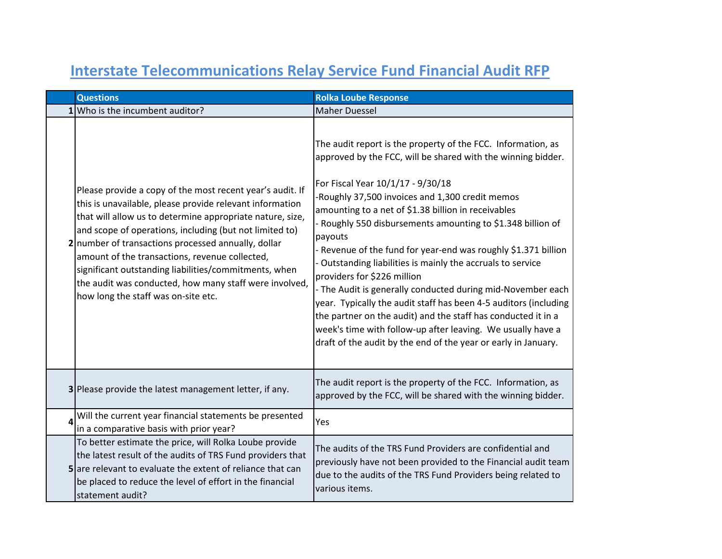|   | <b>Questions</b>                                                                                                                                                                                                                                                                                                                                                                                                                                                                                                 | <b>Rolka Loube Response</b>                                                                                                                                                                                                                                                                                                                                                                                                                                                                                                                                                                                                                                                                                                                                                                                                                                |
|---|------------------------------------------------------------------------------------------------------------------------------------------------------------------------------------------------------------------------------------------------------------------------------------------------------------------------------------------------------------------------------------------------------------------------------------------------------------------------------------------------------------------|------------------------------------------------------------------------------------------------------------------------------------------------------------------------------------------------------------------------------------------------------------------------------------------------------------------------------------------------------------------------------------------------------------------------------------------------------------------------------------------------------------------------------------------------------------------------------------------------------------------------------------------------------------------------------------------------------------------------------------------------------------------------------------------------------------------------------------------------------------|
|   | 1 Who is the incumbent auditor?                                                                                                                                                                                                                                                                                                                                                                                                                                                                                  | <b>Maher Duessel</b>                                                                                                                                                                                                                                                                                                                                                                                                                                                                                                                                                                                                                                                                                                                                                                                                                                       |
|   | Please provide a copy of the most recent year's audit. If<br>this is unavailable, please provide relevant information<br>that will allow us to determine appropriate nature, size,<br>and scope of operations, including (but not limited to)<br>2 number of transactions processed annually, dollar<br>amount of the transactions, revenue collected,<br>significant outstanding liabilities/commitments, when<br>the audit was conducted, how many staff were involved,<br>how long the staff was on-site etc. | The audit report is the property of the FCC. Information, as<br>approved by the FCC, will be shared with the winning bidder.<br>For Fiscal Year 10/1/17 - 9/30/18<br>-Roughly 37,500 invoices and 1,300 credit memos<br>amounting to a net of \$1.38 billion in receivables<br>- Roughly 550 disbursements amounting to \$1.348 billion of<br>payouts<br>- Revenue of the fund for year-end was roughly \$1.371 billion<br>- Outstanding liabilities is mainly the accruals to service<br>providers for \$226 million<br>- The Audit is generally conducted during mid-November each<br>year. Typically the audit staff has been 4-5 auditors (including<br>the partner on the audit) and the staff has conducted it in a<br>week's time with follow-up after leaving. We usually have a<br>draft of the audit by the end of the year or early in January. |
|   | 3 Please provide the latest management letter, if any.                                                                                                                                                                                                                                                                                                                                                                                                                                                           | The audit report is the property of the FCC. Information, as<br>approved by the FCC, will be shared with the winning bidder.                                                                                                                                                                                                                                                                                                                                                                                                                                                                                                                                                                                                                                                                                                                               |
| 4 | Will the current year financial statements be presented<br>in a comparative basis with prior year?                                                                                                                                                                                                                                                                                                                                                                                                               | Yes                                                                                                                                                                                                                                                                                                                                                                                                                                                                                                                                                                                                                                                                                                                                                                                                                                                        |
|   | To better estimate the price, will Rolka Loube provide<br>the latest result of the audits of TRS Fund providers that<br>5 are relevant to evaluate the extent of reliance that can<br>be placed to reduce the level of effort in the financial<br>statement audit?                                                                                                                                                                                                                                               | The audits of the TRS Fund Providers are confidential and<br>previously have not been provided to the Financial audit team<br>due to the audits of the TRS Fund Providers being related to<br>various items.                                                                                                                                                                                                                                                                                                                                                                                                                                                                                                                                                                                                                                               |

## **Interstate Telecommunications Relay Service Fund Financial Audit RFP**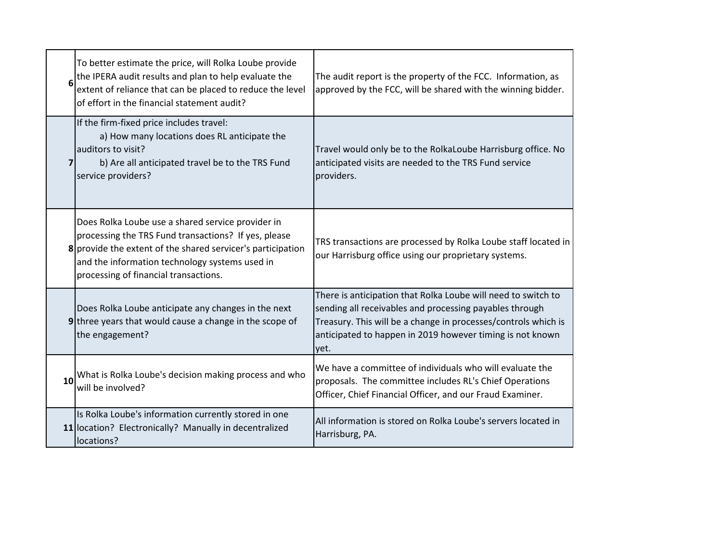| 6              | To better estimate the price, will Rolka Loube provide<br>the IPERA audit results and plan to help evaluate the<br>extent of reliance that can be placed to reduce the level<br>of effort in the financial statement audit?                                         | The audit report is the property of the FCC. Information, as<br>approved by the FCC, will be shared with the winning bidder.                                                                                                                                    |
|----------------|---------------------------------------------------------------------------------------------------------------------------------------------------------------------------------------------------------------------------------------------------------------------|-----------------------------------------------------------------------------------------------------------------------------------------------------------------------------------------------------------------------------------------------------------------|
| $\overline{7}$ | If the firm-fixed price includes travel:<br>a) How many locations does RL anticipate the<br>auditors to visit?<br>b) Are all anticipated travel be to the TRS Fund<br>service providers?                                                                            | Travel would only be to the RolkaLoube Harrisburg office. No<br>anticipated visits are needed to the TRS Fund service<br>providers.                                                                                                                             |
|                | Does Rolka Loube use a shared service provider in<br>processing the TRS Fund transactions? If yes, please<br>8 provide the extent of the shared servicer's participation<br>and the information technology systems used in<br>processing of financial transactions. | TRS transactions are processed by Rolka Loube staff located in<br>our Harrisburg office using our proprietary systems.                                                                                                                                          |
|                | Does Rolka Loube anticipate any changes in the next<br>9 three years that would cause a change in the scope of<br>the engagement?                                                                                                                                   | There is anticipation that Rolka Loube will need to switch to<br>sending all receivables and processing payables through<br>Treasury. This will be a change in processes/controls which is<br>anticipated to happen in 2019 however timing is not known<br>yet. |
| 10             | What is Rolka Loube's decision making process and who<br>will be involved?                                                                                                                                                                                          | We have a committee of individuals who will evaluate the<br>proposals. The committee includes RL's Chief Operations<br>Officer, Chief Financial Officer, and our Fraud Examiner.                                                                                |
|                | Is Rolka Loube's information currently stored in one<br>11 location? Electronically? Manually in decentralized<br>locations?                                                                                                                                        | All information is stored on Rolka Loube's servers located in<br>Harrisburg, PA.                                                                                                                                                                                |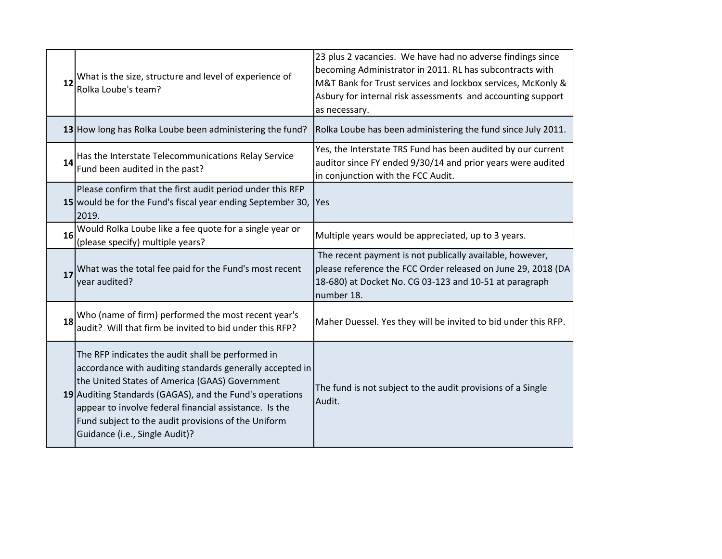| 12 | What is the size, structure and level of experience of<br>Rolka Loube's team?                                                                                                                                                                                                                                                                                                  | 23 plus 2 vacancies. We have had no adverse findings since<br>becoming Administrator in 2011. RL has subcontracts with<br>M&T Bank for Trust services and lockbox services, McKonly &<br>Asbury for internal risk assessments and accounting support<br>as necessary. |
|----|--------------------------------------------------------------------------------------------------------------------------------------------------------------------------------------------------------------------------------------------------------------------------------------------------------------------------------------------------------------------------------|-----------------------------------------------------------------------------------------------------------------------------------------------------------------------------------------------------------------------------------------------------------------------|
|    | 13 How long has Rolka Loube been administering the fund?                                                                                                                                                                                                                                                                                                                       | Rolka Loube has been administering the fund since July 2011.                                                                                                                                                                                                          |
| 14 | Has the Interstate Telecommunications Relay Service<br>Fund been audited in the past?                                                                                                                                                                                                                                                                                          | Yes, the Interstate TRS Fund has been audited by our current<br>auditor since FY ended 9/30/14 and prior years were audited<br>in conjunction with the FCC Audit.                                                                                                     |
|    | Please confirm that the first audit period under this RFP<br>15 would be for the Fund's fiscal year ending September 30,<br>2019.                                                                                                                                                                                                                                              | Yes                                                                                                                                                                                                                                                                   |
| 16 | Would Rolka Loube like a fee quote for a single year or<br>(please specify) multiple years?                                                                                                                                                                                                                                                                                    | Multiple years would be appreciated, up to 3 years.                                                                                                                                                                                                                   |
| 17 | What was the total fee paid for the Fund's most recent<br>year audited?                                                                                                                                                                                                                                                                                                        | The recent payment is not publically available, however,<br>please reference the FCC Order released on June 29, 2018 (DA<br>18-680) at Docket No. CG 03-123 and 10-51 at paragraph<br>number 18.                                                                      |
| 18 | Who (name of firm) performed the most recent year's<br>audit? Will that firm be invited to bid under this RFP?                                                                                                                                                                                                                                                                 | Maher Duessel. Yes they will be invited to bid under this RFP.                                                                                                                                                                                                        |
|    | The RFP indicates the audit shall be performed in<br>accordance with auditing standards generally accepted in<br>the United States of America (GAAS) Government<br>19 Auditing Standards (GAGAS), and the Fund's operations<br>appear to involve federal financial assistance. Is the<br>Fund subject to the audit provisions of the Uniform<br>Guidance (i.e., Single Audit)? | The fund is not subject to the audit provisions of a Single<br>Audit.                                                                                                                                                                                                 |